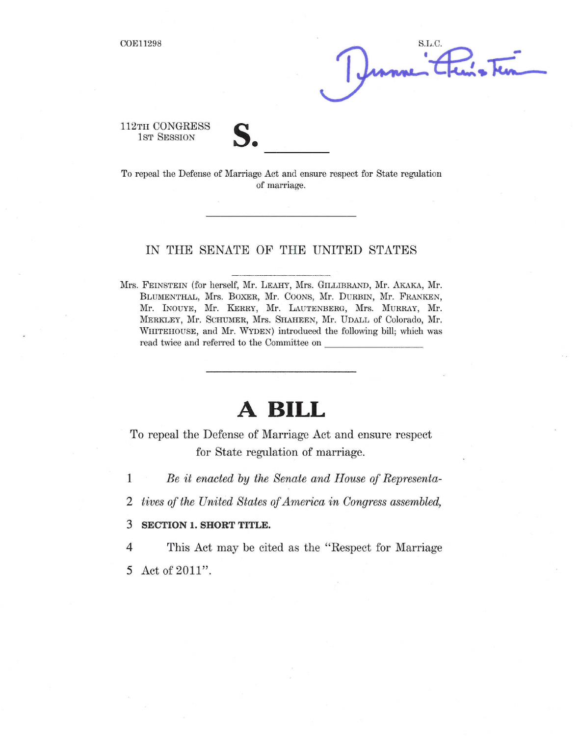S.L.C.

112TH CONGRESS 1<sub>ST</sub> SESSION

To repeal the Defense of Marriage Act and ensure respect for State regulation of marriage.

### IN THE SENATE OF THE UNITED STATES

Mrs. FEINSTEIN (for herself, Mr. LEAHY, Mrs. GIIJLIBRAND, Mr. AKAKA, Mr. BIJUMENTHAL, Mrs. BOXER, Mr. COONS, Mr. DURBIN, Mr. FRANKEN, Mr. INOUYE, Mr. KERRY, Mr. LAUTENBERG, Mrs. MURRAY, Mr. MERKLEY, Mr. SCHUMER, Mrs. SHAHEEN, Mr. UDALL of Colorado, Mr. WHITEHOUSE, and Mr. WYDEN) introduced the following bill; which was read twice and referred to the Committee on \_

# **A BILL**

To repeal the Defense of Marriage Act and ensure respect for State regulation of marriage.

1 *Be it enacted by the Senate and House of Representa-*

*2 tives of the United States of America in Congress assembled,*

#### 3 **SECTION 1. SHORT TITLE.**

4 This Act may be cited as the "Respect for Marriage"

5 Act of 2011".